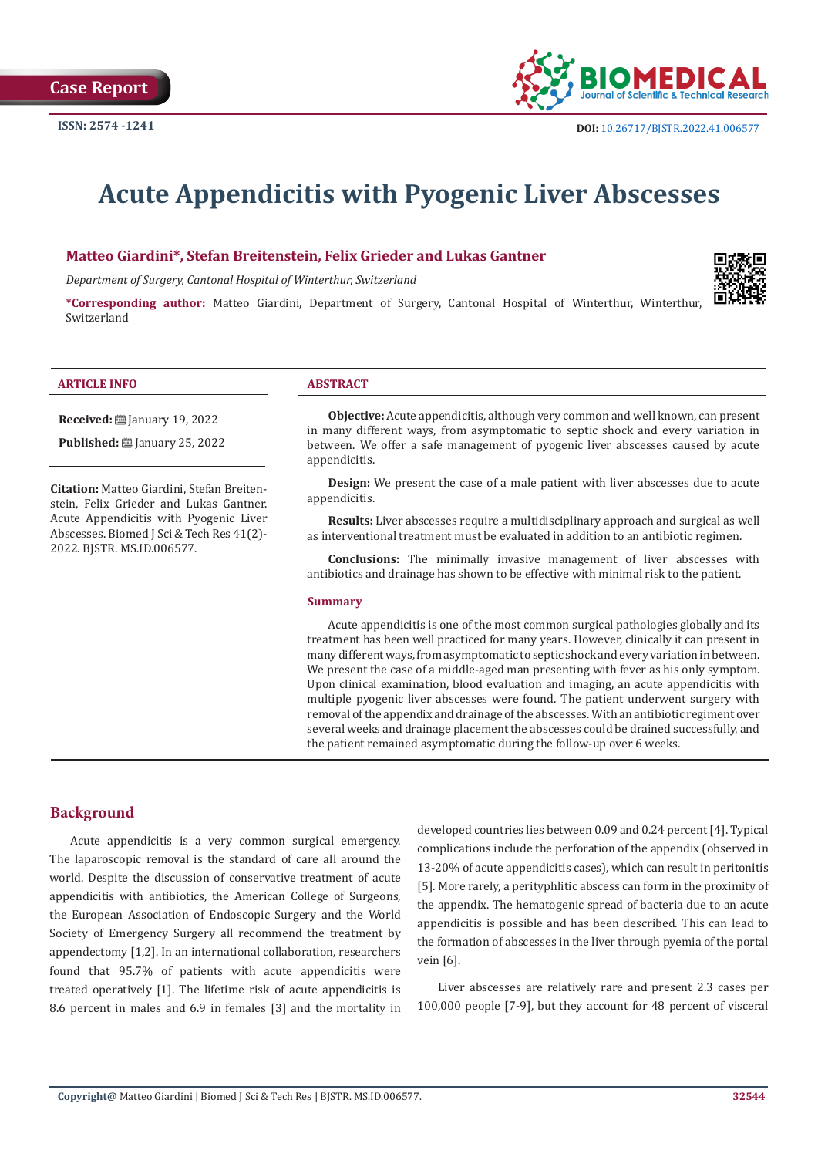

# **Acute Appendicitis with Pyogenic Liver Abscesses**

## **Matteo Giardini\*, Stefan Breitenstein, Felix Grieder and Lukas Gantner**

*Department of Surgery, Cantonal Hospital of Winterthur, Switzerland*

**\*Corresponding author:** Matteo Giardini, Department of Surgery, Cantonal Hospital of Winterthur, Winterthur, Switzerland

#### **ARTICLE INFO ABSTRACT**

**Received:** January 19, 2022

**Published:** ■ January 25, 2022

**Citation:** Matteo Giardini, Stefan Breitenstein, Felix Grieder and Lukas Gantner. Acute Appendicitis with Pyogenic Liver Abscesses. Biomed J Sci & Tech Res 41(2)- 2022. BJSTR. MS.ID.006577.

**Objective:** Acute appendicitis, although very common and well known, can present in many different ways, from asymptomatic to septic shock and every variation in between. We offer a safe management of pyogenic liver abscesses caused by acute appendicitis.

**Design:** We present the case of a male patient with liver abscesses due to acute appendicitis.

**Results:** Liver abscesses require a multidisciplinary approach and surgical as well as interventional treatment must be evaluated in addition to an antibiotic regimen.

**Conclusions:** The minimally invasive management of liver abscesses with antibiotics and drainage has shown to be effective with minimal risk to the patient.

#### **Summary**

Acute appendicitis is one of the most common surgical pathologies globally and its treatment has been well practiced for many years. However, clinically it can present in many different ways, from asymptomatic to septic shock and every variation in between. We present the case of a middle-aged man presenting with fever as his only symptom. Upon clinical examination, blood evaluation and imaging, an acute appendicitis with multiple pyogenic liver abscesses were found. The patient underwent surgery with removal of the appendix and drainage of the abscesses. With an antibiotic regiment over several weeks and drainage placement the abscesses could be drained successfully, and the patient remained asymptomatic during the follow-up over 6 weeks.

# **Background**

Acute appendicitis is a very common surgical emergency. The laparoscopic removal is the standard of care all around the world. Despite the discussion of conservative treatment of acute appendicitis with antibiotics, the American College of Surgeons, the European Association of Endoscopic Surgery and the World Society of Emergency Surgery all recommend the treatment by appendectomy [1,2]. In an international collaboration, researchers found that 95.7% of patients with acute appendicitis were treated operatively [1]. The lifetime risk of acute appendicitis is 8.6 percent in males and 6.9 in females [3] and the mortality in developed countries lies between 0.09 and 0.24 percent [4]. Typical complications include the perforation of the appendix (observed in 13-20% of acute appendicitis cases), which can result in peritonitis [5]. More rarely, a perityphlitic abscess can form in the proximity of the appendix. The hematogenic spread of bacteria due to an acute appendicitis is possible and has been described. This can lead to the formation of abscesses in the liver through pyemia of the portal vein [6].

Liver abscesses are relatively rare and present 2.3 cases per 100,000 people [7-9], but they account for 48 percent of visceral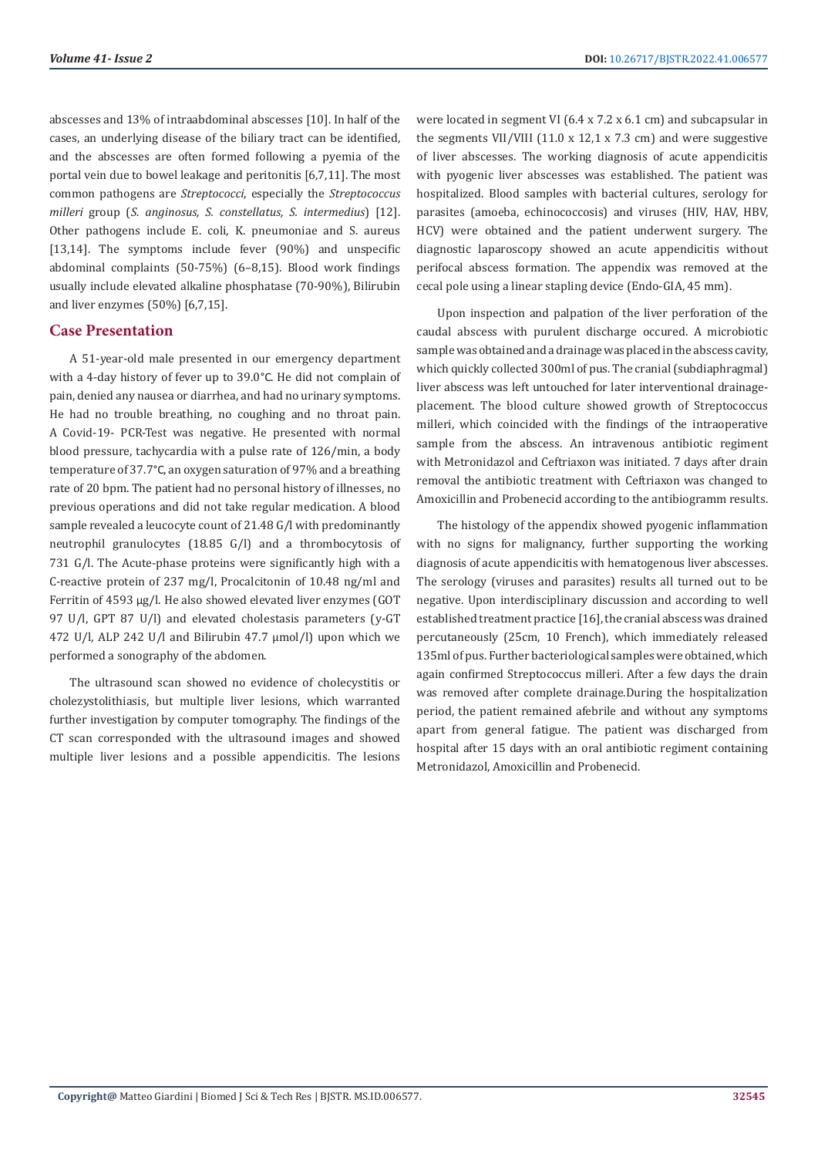abscesses and 13% of intraabdominal abscesses [10]. In half of the cases, an underlying disease of the biliary tract can be identified, and the abscesses are often formed following a pyemia of the portal vein due to bowel leakage and peritonitis [6,7,11]. The most common pathogens are *Streptococci*, especially the *Streptococcus milleri* group (*S. anginosus, S. constellatus, S. intermedius*) [12]. Other pathogens include E. coli, K. pneumoniae and S. aureus [13,14]. The symptoms include fever (90%) and unspecific abdominal complaints (50-75%) (6–8,15). Blood work findings usually include elevated alkaline phosphatase (70-90%), Bilirubin and liver enzymes (50%) [6,7,15].

# **Case Presentation**

A 51-year-old male presented in our emergency department with a 4-day history of fever up to 39.0°C. He did not complain of pain, denied any nausea or diarrhea, and had no urinary symptoms. He had no trouble breathing, no coughing and no throat pain. A Covid-19- PCR-Test was negative. He presented with normal blood pressure, tachycardia with a pulse rate of 126/min, a body temperature of 37.7°C, an oxygen saturation of 97% and a breathing rate of 20 bpm. The patient had no personal history of illnesses, no previous operations and did not take regular medication. A blood sample revealed a leucocyte count of 21.48 G/l with predominantly neutrophil granulocytes (18.85 G/l) and a thrombocytosis of 731 G/l. The Acute-phase proteins were significantly high with a C-reactive protein of 237 mg/l, Procalcitonin of 10.48 ng/ml and Ferritin of 4593 µg/l. He also showed elevated liver enzymes (GOT 97 U/l, GPT 87 U/l) and elevated cholestasis parameters (y-GT 472 U/l, ALP 242 U/l and Bilirubin 47.7 umol/l) upon which we performed a sonography of the abdomen.

The ultrasound scan showed no evidence of cholecystitis or cholezystolithiasis, but multiple liver lesions, which warranted further investigation by computer tomography. The findings of the CT scan corresponded with the ultrasound images and showed multiple liver lesions and a possible appendicitis. The lesions were located in segment VI (6.4 x 7.2 x 6.1 cm) and subcapsular in the segments VII/VIII (11.0 x 12,1 x 7.3 cm) and were suggestive of liver abscesses. The working diagnosis of acute appendicitis with pyogenic liver abscesses was established. The patient was hospitalized. Blood samples with bacterial cultures, serology for parasites (amoeba, echinococcosis) and viruses (HIV, HAV, HBV, HCV) were obtained and the patient underwent surgery. The diagnostic laparoscopy showed an acute appendicitis without perifocal abscess formation. The appendix was removed at the cecal pole using a linear stapling device (Endo-GIA, 45 mm).

Upon inspection and palpation of the liver perforation of the caudal abscess with purulent discharge occured. A microbiotic sample was obtained and a drainage was placed in the abscess cavity, which quickly collected 300ml of pus. The cranial (subdiaphragmal) liver abscess was left untouched for later interventional drainageplacement. The blood culture showed growth of Streptococcus milleri, which coincided with the findings of the intraoperative sample from the abscess. An intravenous antibiotic regiment with Metronidazol and Ceftriaxon was initiated. 7 days after drain removal the antibiotic treatment with Ceftriaxon was changed to Amoxicillin and Probenecid according to the antibiogramm results.

The histology of the appendix showed pyogenic inflammation with no signs for malignancy, further supporting the working diagnosis of acute appendicitis with hematogenous liver abscesses. The serology (viruses and parasites) results all turned out to be negative. Upon interdisciplinary discussion and according to well established treatment practice [16], the cranial abscess was drained percutaneously (25cm, 10 French), which immediately released 135ml of pus. Further bacteriological samples were obtained, which again confirmed Streptococcus milleri. After a few days the drain was removed after complete drainage.During the hospitalization period, the patient remained afebrile and without any symptoms apart from general fatigue. The patient was discharged from hospital after 15 days with an oral antibiotic regiment containing Metronidazol, Amoxicillin and Probenecid.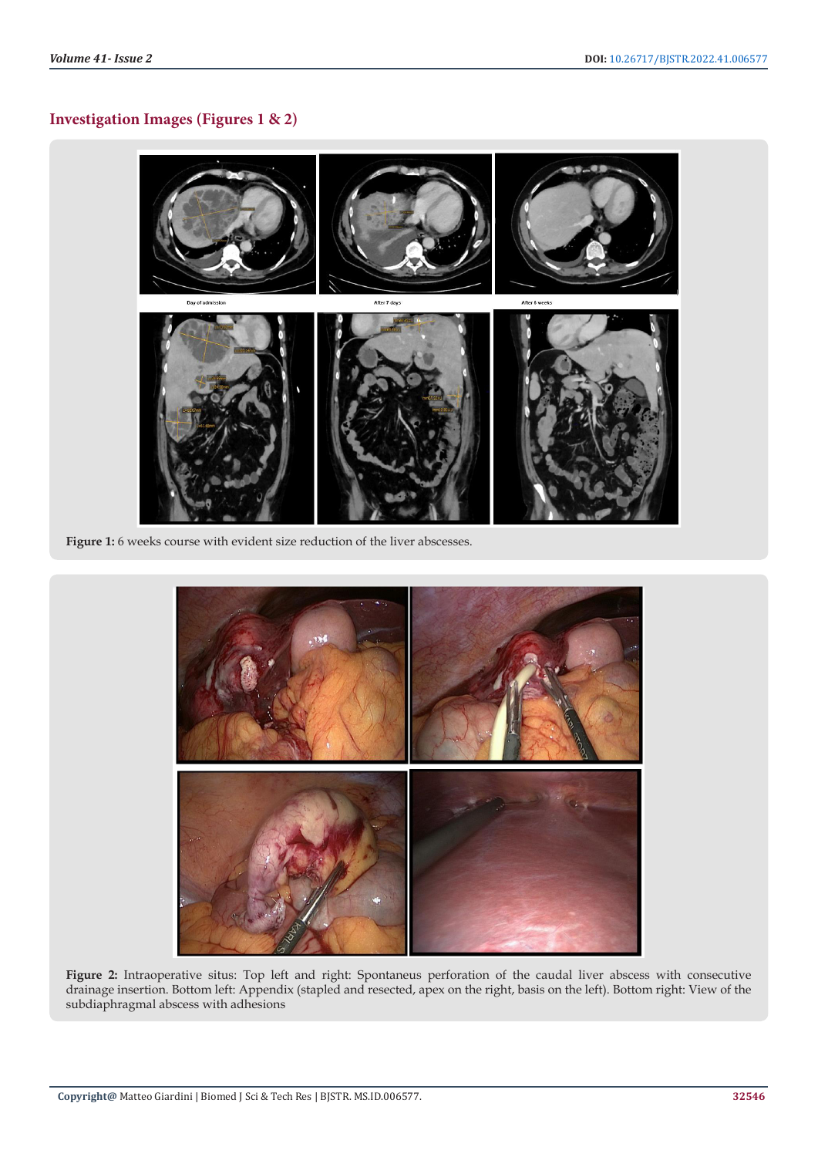# **Investigation Images (Figures 1 & 2)**



**Figure 1:** 6 weeks course with evident size reduction of the liver abscesses.



Figure 2: Intraoperative situs: Top left and right: Spontaneus perforation of the caudal liver abscess with consecutive drainage insertion. Bottom left: Appendix (stapled and resected, apex on the right, basis on the left). Bottom right: View of the subdiaphragmal abscess with adhesions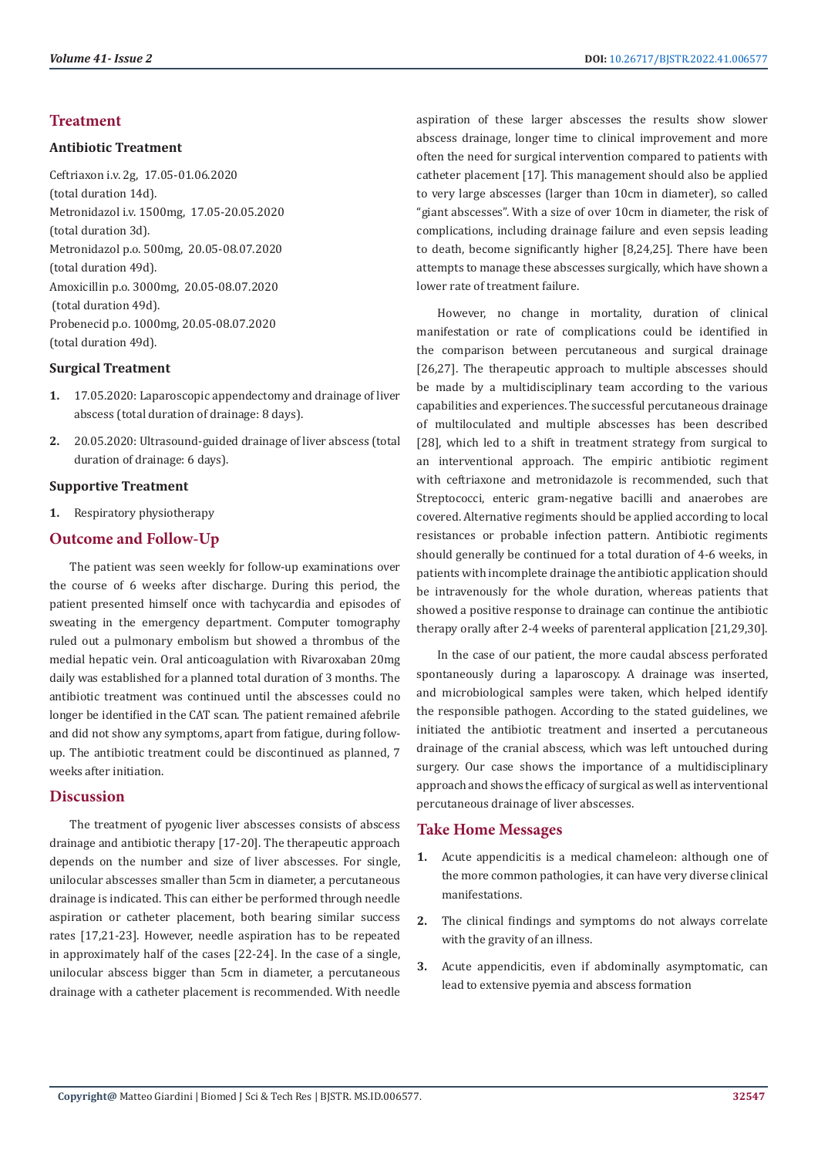# **Treatment**

## **Antibiotic Treatment**

Ceftriaxon i.v. 2g, 17.05-01.06.2020 (total duration 14d). Metronidazol i.v. 1500mg, 17.05-20.05.2020 (total duration 3d). Metronidazol p.o. 500mg, 20.05-08.07.2020 (total duration 49d). Amoxicillin p.o. 3000mg, 20.05-08.07.2020 (total duration 49d). Probenecid p.o. 1000mg, 20.05-08.07.2020 (total duration 49d).

# **Surgical Treatment**

- **1.** 17.05.2020: Laparoscopic appendectomy and drainage of liver abscess (total duration of drainage: 8 days).
- **2.** 20.05.2020: Ultrasound-guided drainage of liver abscess (total duration of drainage: 6 days).

# **Supportive Treatment**

**1.** Respiratory physiotherapy

# **Outcome and Follow-Up**

The patient was seen weekly for follow-up examinations over the course of 6 weeks after discharge. During this period, the patient presented himself once with tachycardia and episodes of sweating in the emergency department. Computer tomography ruled out a pulmonary embolism but showed a thrombus of the medial hepatic vein. Oral anticoagulation with Rivaroxaban 20mg daily was established for a planned total duration of 3 months. The antibiotic treatment was continued until the abscesses could no longer be identified in the CAT scan. The patient remained afebrile and did not show any symptoms, apart from fatigue, during followup. The antibiotic treatment could be discontinued as planned, 7 weeks after initiation.

# **Discussion**

The treatment of pyogenic liver abscesses consists of abscess drainage and antibiotic therapy [17-20]. The therapeutic approach depends on the number and size of liver abscesses. For single, unilocular abscesses smaller than 5cm in diameter, a percutaneous drainage is indicated. This can either be performed through needle aspiration or catheter placement, both bearing similar success rates [17,21-23]. However, needle aspiration has to be repeated in approximately half of the cases [22-24]. In the case of a single, unilocular abscess bigger than 5cm in diameter, a percutaneous drainage with a catheter placement is recommended. With needle

aspiration of these larger abscesses the results show slower abscess drainage, longer time to clinical improvement and more often the need for surgical intervention compared to patients with catheter placement [17]. This management should also be applied to very large abscesses (larger than 10cm in diameter), so called "giant abscesses". With a size of over 10cm in diameter, the risk of complications, including drainage failure and even sepsis leading to death, become significantly higher [8,24,25]. There have been attempts to manage these abscesses surgically, which have shown a lower rate of treatment failure.

However, no change in mortality, duration of clinical manifestation or rate of complications could be identified in the comparison between percutaneous and surgical drainage [26,27]. The therapeutic approach to multiple abscesses should be made by a multidisciplinary team according to the various capabilities and experiences. The successful percutaneous drainage of multiloculated and multiple abscesses has been described [28], which led to a shift in treatment strategy from surgical to an interventional approach. The empiric antibiotic regiment with ceftriaxone and metronidazole is recommended, such that Streptococci, enteric gram-negative bacilli and anaerobes are covered. Alternative regiments should be applied according to local resistances or probable infection pattern. Antibiotic regiments should generally be continued for a total duration of 4-6 weeks, in patients with incomplete drainage the antibiotic application should be intravenously for the whole duration, whereas patients that showed a positive response to drainage can continue the antibiotic therapy orally after 2-4 weeks of parenteral application [21,29,30].

In the case of our patient, the more caudal abscess perforated spontaneously during a laparoscopy. A drainage was inserted, and microbiological samples were taken, which helped identify the responsible pathogen. According to the stated guidelines, we initiated the antibiotic treatment and inserted a percutaneous drainage of the cranial abscess, which was left untouched during surgery. Our case shows the importance of a multidisciplinary approach and shows the efficacy of surgical as well as interventional percutaneous drainage of liver abscesses.

# **Take Home Messages**

- **1.** Acute appendicitis is a medical chameleon: although one of the more common pathologies, it can have very diverse clinical manifestations.
- **2.** The clinical findings and symptoms do not always correlate with the gravity of an illness.
- **3.** Acute appendicitis, even if abdominally asymptomatic, can lead to extensive pyemia and abscess formation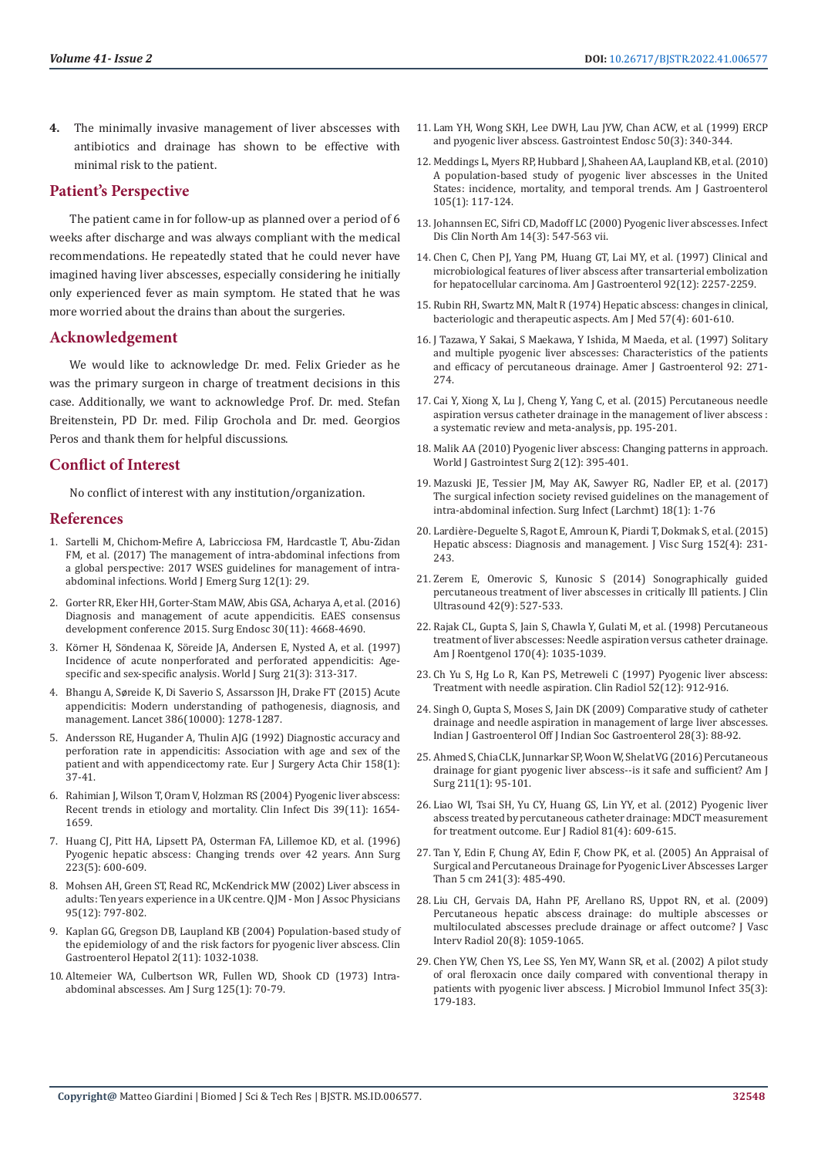**4.** The minimally invasive management of liver abscesses with antibiotics and drainage has shown to be effective with minimal risk to the patient.

# **Patient's Perspective**

The patient came in for follow-up as planned over a period of 6 weeks after discharge and was always compliant with the medical recommendations. He repeatedly stated that he could never have imagined having liver abscesses, especially considering he initially only experienced fever as main symptom. He stated that he was more worried about the drains than about the surgeries.

# **Acknowledgement**

We would like to acknowledge Dr. med. Felix Grieder as he was the primary surgeon in charge of treatment decisions in this case. Additionally, we want to acknowledge Prof. Dr. med. Stefan Breitenstein, PD Dr. med. Filip Grochola and Dr. med. Georgios Peros and thank them for helpful discussions.

# **Conflict of Interest**

No conflict of interest with any institution/organization.

# **References**

- 1. [Sartelli M, Chichom-Mefire A, Labricciosa FM, Hardcastle T, Abu-Zidan](https://www.ncbi.nlm.nih.gov/pubmed/28702076)  [FM, et al. \(2017\) The management of intra-abdominal infections from](https://www.ncbi.nlm.nih.gov/pubmed/28702076)  [a global perspective: 2017 WSES guidelines for management of intra](https://www.ncbi.nlm.nih.gov/pubmed/28702076)[abdominal infections. World J Emerg Surg 12\(1\): 29.](https://www.ncbi.nlm.nih.gov/pubmed/28702076)
- 2. [Gorter RR, Eker HH, Gorter-Stam MAW, Abis GSA, Acharya A, et al. \(2016\)](https://www.ncbi.nlm.nih.gov/pubmed/27660247)  [Diagnosis and management of acute appendicitis. EAES consensus](https://www.ncbi.nlm.nih.gov/pubmed/27660247)  [development conference 2015. Surg Endosc 30\(11\): 4668-4690.](https://www.ncbi.nlm.nih.gov/pubmed/27660247)
- 3. Körner H, Sö[ndenaa K, Söreide JA, Andersen E, Nysted A, et al. \(1997\)](https://www.ncbi.nlm.nih.gov/pubmed/9015177)  [Incidence of acute nonperforated and perforated appendicitis: Age](https://www.ncbi.nlm.nih.gov/pubmed/9015177)[specific and sex-specific analysis. World J Surg 21\(3\): 313-317.](https://www.ncbi.nlm.nih.gov/pubmed/9015177)
- 4. Bhangu A, Sø[reide K, Di Saverio S, Assarsson JH, Drake FT \(2015\) Acute](https://pubmed.ncbi.nlm.nih.gov/26460662/)  [appendicitis: Modern understanding of pathogenesis, diagnosis, and](https://pubmed.ncbi.nlm.nih.gov/26460662/)  [management. Lancet 386\(10000\): 1278-1287.](https://pubmed.ncbi.nlm.nih.gov/26460662/)
- 5. [Andersson RE, Hugander A, Thulin AJG \(1992\) Diagnostic accuracy and](https://pubmed.ncbi.nlm.nih.gov/1348639/)  [perforation rate in appendicitis: Association with age and sex of the](https://pubmed.ncbi.nlm.nih.gov/1348639/)  patient and with appendicectomy rate. Eur J Surgery Acta Chir 158(1): [37-41.](https://pubmed.ncbi.nlm.nih.gov/1348639/)
- 6. [Rahimian J, Wilson T, Oram V, Holzman RS \(2004\) Pyogenic liver abscess:](https://www.ncbi.nlm.nih.gov/pubmed/15578367)  [Recent trends in etiology and mortality. Clin Infect Dis 39\(11\): 1654-](https://www.ncbi.nlm.nih.gov/pubmed/15578367) [1659.](https://www.ncbi.nlm.nih.gov/pubmed/15578367)
- 7. [Huang CJ, Pitt HA, Lipsett PA, Osterman FA, Lillemoe KD, et al. \(1996\)](https://www.ncbi.nlm.nih.gov/pubmed/8651751)  [Pyogenic hepatic abscess: Changing trends over 42 years. Ann Surg](https://www.ncbi.nlm.nih.gov/pubmed/8651751)  [223\(5\): 600-609.](https://www.ncbi.nlm.nih.gov/pubmed/8651751)
- 8. [Mohsen AH, Green ST, Read RC, McKendrick MW \(2002\) Liver abscess in](https://www.ncbi.nlm.nih.gov/pubmed/12454322)  [adults: Ten years experience in a UK centre. QJM - Mon J Assoc Physicians](https://www.ncbi.nlm.nih.gov/pubmed/12454322)  [95\(12\): 797-802.](https://www.ncbi.nlm.nih.gov/pubmed/12454322)
- 9. [Kaplan GG, Gregson DB, Laupland KB \(2004\) Population-based study of](https://www.ncbi.nlm.nih.gov/pubmed/15551257)  [the epidemiology of and the risk factors for pyogenic liver abscess. Clin](https://www.ncbi.nlm.nih.gov/pubmed/15551257)  [Gastroenterol Hepatol 2\(11\): 1032-1038.](https://www.ncbi.nlm.nih.gov/pubmed/15551257)
- 10. [Altemeier WA, Culbertson WR, Fullen WD, Shook CD \(1973\) Intra](https://www.ncbi.nlm.nih.gov/pubmed/4566907)[abdominal abscesses. Am J Surg 125\(1\): 70-79.](https://www.ncbi.nlm.nih.gov/pubmed/4566907)
- 11. [Lam YH, Wong SKH, Lee DWH, Lau JYW, Chan ACW, et al. \(1999\) ERCP](https://www.ncbi.nlm.nih.gov/pubmed/10462653) [and pyogenic liver abscess. Gastrointest Endosc 50\(3\): 340-344.](https://www.ncbi.nlm.nih.gov/pubmed/10462653)
- 12. [Meddings L, Myers RP, Hubbard J, Shaheen AA, Laupland KB, et al. \(2010\)](https://pubmed.ncbi.nlm.nih.gov/19888200/) [A population-based study of pyogenic liver abscesses in the United](https://pubmed.ncbi.nlm.nih.gov/19888200/) [States: incidence, mortality, and temporal trends. Am J Gastroenterol](https://pubmed.ncbi.nlm.nih.gov/19888200/) [105\(1\): 117-124.](https://pubmed.ncbi.nlm.nih.gov/19888200/)
- 13. [Johannsen EC, Sifri CD, Madoff LC \(2000\) Pyogenic liver abscesses. Infect](https://pubmed.ncbi.nlm.nih.gov/10987109/) [Dis Clin North Am 14\(3\): 547-563 vii.](https://pubmed.ncbi.nlm.nih.gov/10987109/)
- 14. [Chen C, Chen PJ, Yang PM, Huang GT, Lai MY, et al. \(1997\) Clinical and](https://pubmed.ncbi.nlm.nih.gov/9399765/) [microbiological features of liver abscess after transarterial embolization](https://pubmed.ncbi.nlm.nih.gov/9399765/) [for hepatocellular carcinoma. Am J Gastroenterol 92\(12\): 2257-2259.](https://pubmed.ncbi.nlm.nih.gov/9399765/)
- 15. [Rubin RH, Swartz MN, Malt R \(1974\) Hepatic abscess: changes in clinical,](https://pubmed.ncbi.nlm.nih.gov/4372883/) [bacteriologic and therapeutic aspects. Am J Med 57\(4\): 601-610.](https://pubmed.ncbi.nlm.nih.gov/4372883/)
- 16. [J Tazawa, Y Sakai, S Maekawa, Y Ishida, M Maeda, et al. \(1997\) Solitary](https://pubmed.ncbi.nlm.nih.gov/9040204/) [and multiple pyogenic liver abscesses: Characteristics of the patients](https://pubmed.ncbi.nlm.nih.gov/9040204/) [and efficacy of percutaneous drainage. Amer J Gastroenterol 92: 271-](https://pubmed.ncbi.nlm.nih.gov/9040204/) [274.](https://pubmed.ncbi.nlm.nih.gov/9040204/)
- 17. [Cai Y, Xiong X, Lu J, Cheng Y, Yang C, et al. \(2015\) Percutaneous needle](https://pubmed.ncbi.nlm.nih.gov/25209740/) [aspiration versus catheter drainage in the management of liver abscess :](https://pubmed.ncbi.nlm.nih.gov/25209740/) [a systematic review and meta-analysis, pp. 195-201.](https://pubmed.ncbi.nlm.nih.gov/25209740/)
- 18. [Malik AA \(2010\) Pyogenic liver abscess: Changing patterns in approach.](https://www.ncbi.nlm.nih.gov/pmc/articles/PMC3014521/) [World J Gastrointest Surg 2\(12\): 395-401.](https://www.ncbi.nlm.nih.gov/pmc/articles/PMC3014521/)
- 19. [Mazuski JE, Tessier JM, May AK, Sawyer RG, Nadler EP, et al. \(2017\)](https://pubmed.ncbi.nlm.nih.gov/28085573/) [The surgical infection society revised guidelines on the management of](https://pubmed.ncbi.nlm.nih.gov/28085573/) [intra-abdominal infection. Surg Infect \(Larchmt\) 18\(1\): 1-76](https://pubmed.ncbi.nlm.nih.gov/28085573/)
- 20. Lardiè[re-Deguelte S, Ragot E, Amroun K, Piardi T, Dokmak S, et al. \(2015\)](https://pubmed.ncbi.nlm.nih.gov/25770745/) [Hepatic abscess: Diagnosis and management. J Visc Surg 152\(4\): 231-](https://pubmed.ncbi.nlm.nih.gov/25770745/) [243.](https://pubmed.ncbi.nlm.nih.gov/25770745/)
- 21. [Zerem E, Omerovic S, Kunosic S \(2014\) Sonographically guided](https://www.researchgate.net/publication/263296296_Sonographically_Guided_Percutaneous_Treatment_of_Liver_Abscesses_in_Critically_Ill_Patients) [percutaneous treatment of liver abscesses in critically Ill patients. J Clin](https://www.researchgate.net/publication/263296296_Sonographically_Guided_Percutaneous_Treatment_of_Liver_Abscesses_in_Critically_Ill_Patients) [Ultrasound 42\(9\): 527-533.](https://www.researchgate.net/publication/263296296_Sonographically_Guided_Percutaneous_Treatment_of_Liver_Abscesses_in_Critically_Ill_Patients)
- 22. [Rajak CL, Gupta S, Jain S, Chawla Y, Gulati M, et al. \(1998\) Percutaneous](https://pubmed.ncbi.nlm.nih.gov/9530055/) [treatment of liver abscesses: Needle aspiration versus catheter drainage.](https://pubmed.ncbi.nlm.nih.gov/9530055/) [Am J Roentgenol 170\(4\): 1035-1039.](https://pubmed.ncbi.nlm.nih.gov/9530055/)
- 23. [Ch Yu S, Hg Lo R, Kan PS, Metreweli C \(1997\) Pyogenic liver abscess:](https://pubmed.ncbi.nlm.nih.gov/9413964/) [Treatment with needle aspiration. Clin Radiol 52\(12\): 912-916.](https://pubmed.ncbi.nlm.nih.gov/9413964/)
- 24. [Singh O, Gupta S, Moses S, Jain DK \(2009\) Comparative study of catheter](https://pubmed.ncbi.nlm.nih.gov/19907956/) [drainage and needle aspiration in management of large liver abscesses.](https://pubmed.ncbi.nlm.nih.gov/19907956/) [Indian J Gastroenterol Off J Indian Soc Gastroenterol 28\(3\): 88-92.](https://pubmed.ncbi.nlm.nih.gov/19907956/)
- 25. [Ahmed S, Chia CLK, Junnarkar SP, Woon W, Shelat VG \(2016\) Percutaneous](https://pubmed.ncbi.nlm.nih.gov/26033361/) [drainage for giant pyogenic liver abscess--is it safe and sufficient? Am J](https://pubmed.ncbi.nlm.nih.gov/26033361/) [Surg 211\(1\): 95-101.](https://pubmed.ncbi.nlm.nih.gov/26033361/)
- 26. [Liao WI, Tsai SH, Yu CY, Huang GS, Lin YY, et al. \(2012\) Pyogenic liver](https://pubmed.ncbi.nlm.nih.gov/21330079/) [abscess treated by percutaneous catheter drainage: MDCT measurement](https://pubmed.ncbi.nlm.nih.gov/21330079/) [for treatment outcome. Eur J Radiol 81\(4\): 609-615.](https://pubmed.ncbi.nlm.nih.gov/21330079/)
- 27. [Tan Y, Edin F, Chung AY, Edin F, Chow PK, et al. \(2005\) An Appraisal of](https://pubmed.ncbi.nlm.nih.gov/15729072/) [Surgical and Percutaneous Drainage for Pyogenic Liver Abscesses Larger](https://pubmed.ncbi.nlm.nih.gov/15729072/) [Than 5 cm 241\(3\): 485-490.](https://pubmed.ncbi.nlm.nih.gov/15729072/)
- 28. [Liu CH, Gervais DA, Hahn PF, Arellano RS, Uppot RN, et al. \(2009\)](https://pubmed.ncbi.nlm.nih.gov/19560374/) [Percutaneous hepatic abscess drainage: do multiple abscesses or](https://pubmed.ncbi.nlm.nih.gov/19560374/) [multiloculated abscesses preclude drainage or affect outcome? J Vasc](https://pubmed.ncbi.nlm.nih.gov/19560374/) [Interv Radiol 20\(8\): 1059-1065.](https://pubmed.ncbi.nlm.nih.gov/19560374/)
- 29. [Chen YW, Chen YS, Lee SS, Yen MY, Wann SR, et al. \(2002\) A pilot study](https://pubmed.ncbi.nlm.nih.gov/12380791/) [of oral fleroxacin once daily compared with conventional therapy in](https://pubmed.ncbi.nlm.nih.gov/12380791/) [patients with pyogenic liver abscess. J Microbiol Immunol Infect 35\(3\):](https://pubmed.ncbi.nlm.nih.gov/12380791/) [179-183.](https://pubmed.ncbi.nlm.nih.gov/12380791/)